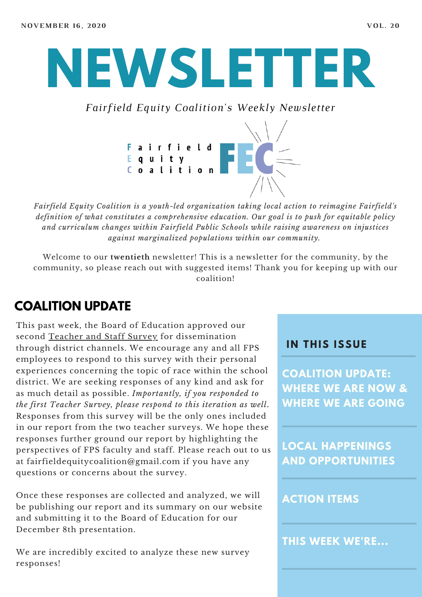# **NEWSLETTER**

*Fairfield Equity Coalition's Weekly Newsletter*



*Fairfield Equity Coalition is a youth-led organization taking local action to reimagine Fairfield's definition of what constitutes a comprehensive education. Our goal is to push for equitable policy and curriculum changes within Fairfield Public Schools while raising awareness on injustices against marginalized populations within our community.*

Welcome to our **twentieth** newsletter! This is a newsletter for the community, by the community, so please reach out with suggested items! Thank you for keeping up with our coalition!

#### **COALITION UPDATE**

This past week, the Board of Education approved our second [Teacher](https://docs.google.com/forms/d/e/1FAIpQLSdifQJcebGw4SBDf0-HPtaQuekBZpXhW8dZB85auYQIkE7g0A/formResponse) and Staff Survey for dissemination through district channels. We encourage any and all FPS employees to respond to this survey with their personal experiences concerning the topic of race within the school district. We are seeking responses of any kind and ask for as much detail as possible. *Importantly, if you responded to the first Teacher Survey, please respond to this iteration as well***.** Responses from this survey will be the only ones included in our report from the two teacher surveys. We hope these responses further ground our report by highlighting the perspectives of FPS faculty and staff. Please reach out to us at fairfieldequitycoalition@gmail.com if you have any questions or concerns about the survey.

Once these responses are collected and analyzed, we will be publishing our report and its summary on our website and submitting it to the Board of Education for our December 8th presentation.

We are incredibly excited to analyze these new survey responses!

#### **I N THIS ISSUE**

**COALITION UPDATE: WHERE WE ARE NOW & WHERE WE ARE GOING**

**LOCAL HAPPENINGS AND OPPORTUNITIES**

#### **ACTION ITEMS**

**THIS WEEK WE'RE...**